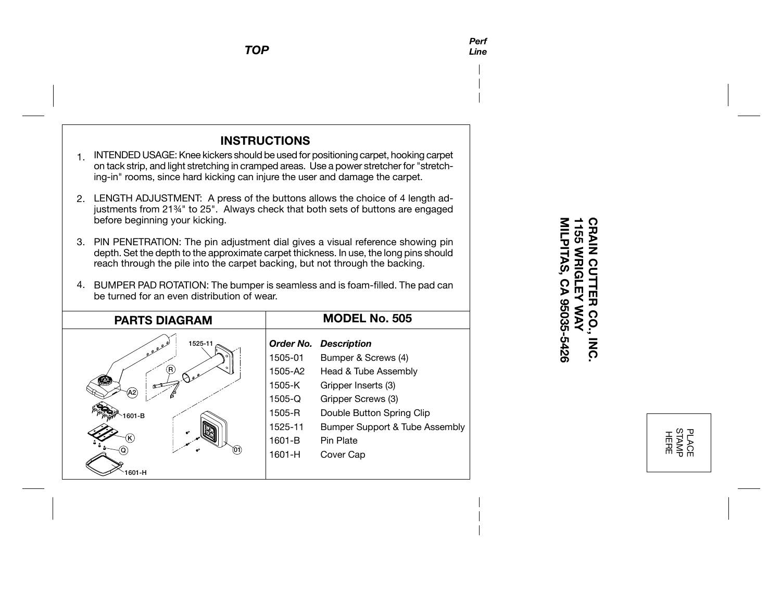*TOP*

## **INSTRUCTIONS**

- 1. INTENDED USAGE: Knee kickers should be used for positioning carpet, hooking carpet on tack strip, and light stretching in cramped areas. Use a power stretcher for "stretching-in" rooms, since hard kicking can injure the user and damage the carpet.
- 2. LENGTH ADJUSTMENT: A press of the buttons allows the choice of 4 length adjustments from 21¾" to 25". Always check that both sets of buttons are engaged before beginning your kicking.
- PlN PENETRATlON: The pin adjustment dial gives a visual reference showing pin 3. depth. Set the depth to the approximate carpet thickness. In use, the long pins should reach through the pile into the carpet backing, but not through the backing.
- 4. BUMPER PAD ROTATION: The bumper is seamless and is foam-filled. The pad can be turned for an even distribution of wear.

| <b>PARTS DIAGRAM</b>                           |                                                                   | <b>MODEL No. 505</b>                                                                                                                        |
|------------------------------------------------|-------------------------------------------------------------------|---------------------------------------------------------------------------------------------------------------------------------------------|
| 1525-11<br>$e^{\rho}$<br>(R)<br>(A2)<br>1601-B | Order No.<br>1505-01<br>1505-A2<br>1505-K<br>$1505 - Q$<br>1505-R | <b>Description</b><br>Bumper & Screws (4)<br>Head & Tube Assembly<br>Gripper Inserts (3)<br>Gripper Screws (3)<br>Double Button Spring Clip |
| ℯ                                              | 1525-11<br>$1601 - B$                                             | Bumper Support & Tube Assembly<br>Pin Plate                                                                                                 |
|                                                | 1601-H                                                            | Cover Cap                                                                                                                                   |
| 601-H                                          |                                                                   |                                                                                                                                             |

## MILPITAS, CA 95035-5426 **CRAIN CUTTER CO.,<br>1155 WRIGLEY WAY MILPITAS, CA 95035-5426 1155 WRIGLEY WAY CRAIN CUTTER CO., INC. INC**

PLACE<br>STAMP<br>HERE